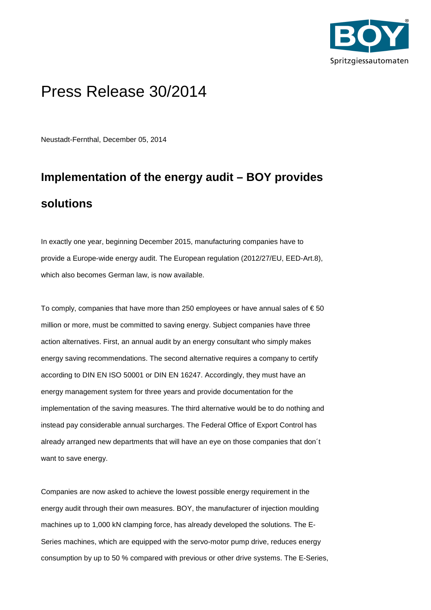

## Press Release 30/2014

Neustadt-Fernthal, December 05, 2014

# **Implementation of the energy audit – BOY provides solutions**

In exactly one year, beginning December 2015, manufacturing companies have to provide a Europe-wide energy audit. The European regulation (2012/27/EU, EED-Art.8), which also becomes German law, is now available.

To comply, companies that have more than 250 employees or have annual sales of  $\epsilon$  50 million or more, must be committed to saving energy. Subject companies have three action alternatives. First, an annual audit by an energy consultant who simply makes energy saving recommendations. The second alternative requires a company to certify according to DIN EN ISO 50001 or DIN EN 16247. Accordingly, they must have an energy management system for three years and provide documentation for the implementation of the saving measures. The third alternative would be to do nothing and instead pay considerable annual surcharges. The Federal Office of Export Control has already arranged new departments that will have an eye on those companies that don´t want to save energy.

Companies are now asked to achieve the lowest possible energy requirement in the energy audit through their own measures. BOY, the manufacturer of injection moulding machines up to 1,000 kN clamping force, has already developed the solutions. The E-Series machines, which are equipped with the servo-motor pump drive, reduces energy consumption by up to 50 % compared with previous or other drive systems. The E-Series,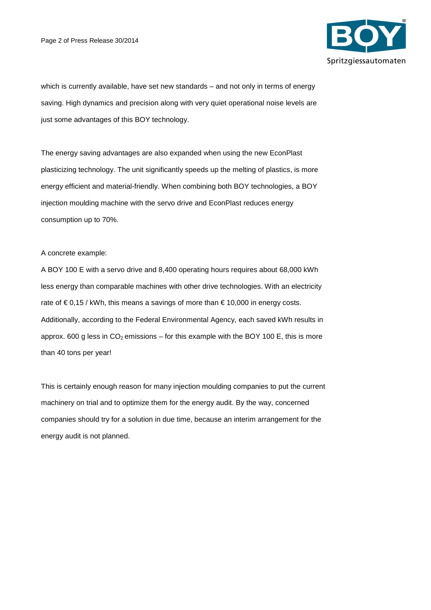

which is currently available, have set new standards – and not only in terms of energy saving. High dynamics and precision along with very quiet operational noise levels are just some advantages of this BOY technology.

The energy saving advantages are also expanded when using the new EconPlast plasticizing technology. The unit significantly speeds up the melting of plastics, is more energy efficient and material-friendly. When combining both BOY technologies, a BOY injection moulding machine with the servo drive and EconPlast reduces energy consumption up to 70%.

A concrete example:

A BOY 100 E with a servo drive and 8,400 operating hours requires about 68,000 kWh less energy than comparable machines with other drive technologies. With an electricity rate of  $\epsilon$  0,15 / kWh, this means a savings of more than  $\epsilon$  10,000 in energy costs. Additionally, according to the Federal Environmental Agency, each saved kWh results in approx. 600 g less in  $CO_2$  emissions – for this example with the BOY 100 E, this is more than 40 tons per year!

This is certainly enough reason for many injection moulding companies to put the current machinery on trial and to optimize them for the energy audit. By the way, concerned companies should try for a solution in due time, because an interim arrangement for the energy audit is not planned.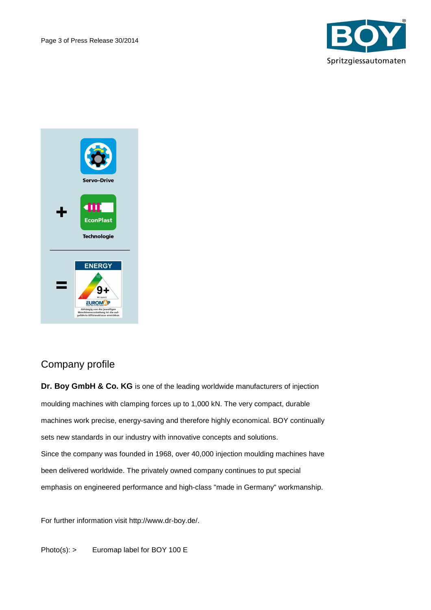



## Company profile

**Dr. Boy GmbH & Co. KG** is one of the leading worldwide manufacturers of injection moulding machines with clamping forces up to 1,000 kN. The very compact, durable machines work precise, energy-saving and therefore highly economical. BOY continually sets new standards in our industry with innovative concepts and solutions. Since the company was founded in 1968, over 40,000 injection moulding machines have been delivered worldwide. The privately owned company continues to put special emphasis on engineered performance and high-class "made in Germany" workmanship.

For further information visit http://www.dr-boy.de/.

Photo(s): > Euromap label for BOY 100 E